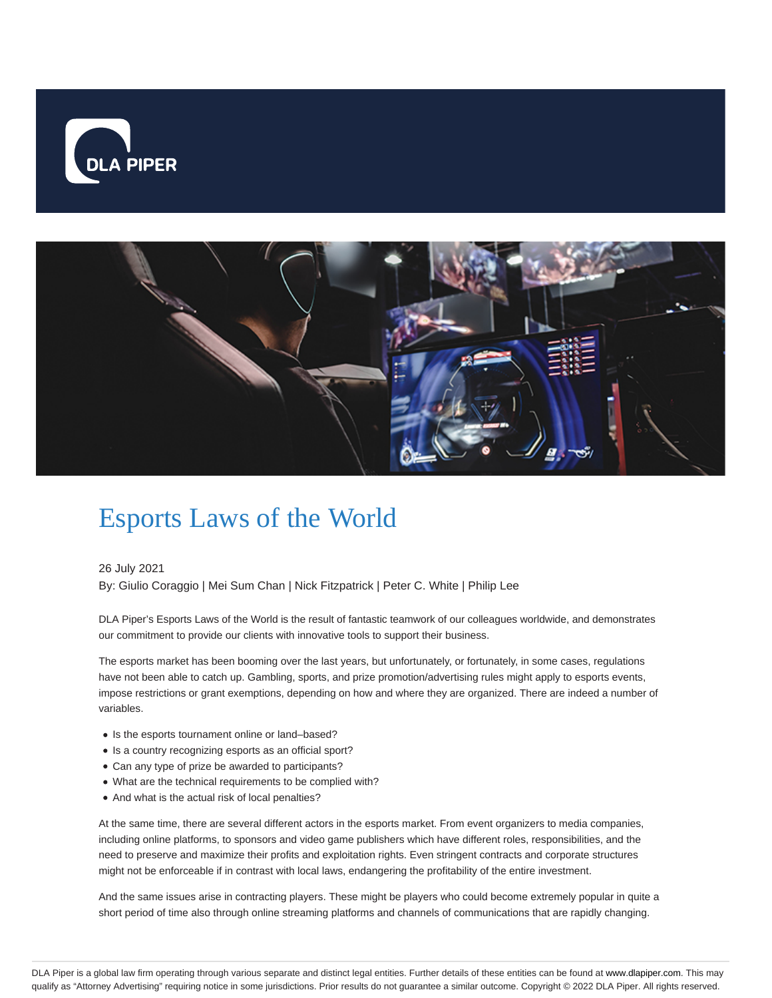



# Esports Laws of the World

26 July 2021

By: Giulio Coraggio | Mei Sum Chan | Nick Fitzpatrick | Peter C. White | Philip Lee

DLA Piper's Esports Laws of the World is the result of fantastic teamwork of our colleagues worldwide, and demonstrates our commitment to provide our clients with innovative tools to support their business.

The esports market has been booming over the last years, but unfortunately, or fortunately, in some cases, regulations have not been able to catch up. Gambling, sports, and prize promotion/advertising rules might apply to esports events, impose restrictions or grant exemptions, depending on how and where they are organized. There are indeed a number of variables.

- Is the esports tournament online or land-based?
- Is a country recognizing esports as an official sport?
- Can any type of prize be awarded to participants?
- What are the technical requirements to be complied with?
- And what is the actual risk of local penalties?

At the same time, there are several different actors in the esports market. From event organizers to media companies, including online platforms, to sponsors and video game publishers which have different roles, responsibilities, and the need to preserve and maximize their profits and exploitation rights. Even stringent contracts and corporate structures might not be enforceable if in contrast with local laws, endangering the profitability of the entire investment.

And the same issues arise in contracting players. These might be players who could become extremely popular in quite a short period of time also through online streaming platforms and channels of communications that are rapidly changing.